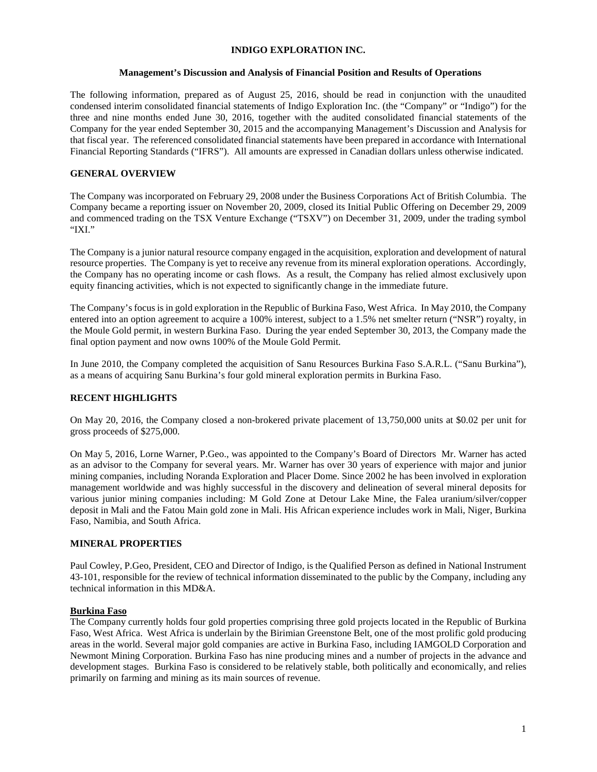### **INDIGO EXPLORATION INC.**

### **Management's Discussion and Analysis of Financial Position and Results of Operations**

The following information, prepared as of August 25, 2016, should be read in conjunction with the unaudited condensed interim consolidated financial statements of Indigo Exploration Inc. (the "Company" or "Indigo") for the three and nine months ended June 30, 2016, together with the audited consolidated financial statements of the Company for the year ended September 30, 2015 and the accompanying Management's Discussion and Analysis for that fiscal year. The referenced consolidated financial statements have been prepared in accordance with International Financial Reporting Standards ("IFRS"). All amounts are expressed in Canadian dollars unless otherwise indicated.

### **GENERAL OVERVIEW**

The Company was incorporated on February 29, 2008 under the Business Corporations Act of British Columbia. The Company became a reporting issuer on November 20, 2009, closed its Initial Public Offering on December 29, 2009 and commenced trading on the TSX Venture Exchange ("TSXV") on December 31, 2009, under the trading symbol "IXI."

The Company is a junior natural resource company engaged in the acquisition, exploration and development of natural resource properties. The Company is yet to receive any revenue from its mineral exploration operations. Accordingly, the Company has no operating income or cash flows. As a result, the Company has relied almost exclusively upon equity financing activities, which is not expected to significantly change in the immediate future.

The Company's focus is in gold exploration in the Republic of Burkina Faso, West Africa. In May 2010, the Company entered into an option agreement to acquire a 100% interest, subject to a 1.5% net smelter return ("NSR") royalty, in the Moule Gold permit, in western Burkina Faso. During the year ended September 30, 2013, the Company made the final option payment and now owns 100% of the Moule Gold Permit.

In June 2010, the Company completed the acquisition of Sanu Resources Burkina Faso S.A.R.L. ("Sanu Burkina"), as a means of acquiring Sanu Burkina's four gold mineral exploration permits in Burkina Faso.

## **RECENT HIGHLIGHTS**

On May 20, 2016, the Company closed a non-brokered private placement of 13,750,000 units at \$0.02 per unit for gross proceeds of \$275,000.

On May 5, 2016, Lorne Warner, P.Geo., was appointed to the Company's Board of Directors Mr. Warner has acted as an advisor to the Company for several years. Mr. Warner has over 30 years of experience with major and junior mining companies, including Noranda Exploration and Placer Dome. Since 2002 he has been involved in exploration management worldwide and was highly successful in the discovery and delineation of several mineral deposits for various junior mining companies including: M Gold Zone at Detour Lake Mine, the Falea uranium/silver/copper deposit in Mali and the Fatou Main gold zone in Mali. His African experience includes work in Mali, Niger, Burkina Faso, Namibia, and South Africa.

#### **MINERAL PROPERTIES**

Paul Cowley, P.Geo, President, CEO and Director of Indigo, is the Qualified Person as defined in National Instrument 43-101, responsible for the review of technical information disseminated to the public by the Company, including any technical information in this MD&A.

#### **Burkina Faso**

The Company currently holds four gold properties comprising three gold projects located in the Republic of Burkina Faso, West Africa. West Africa is underlain by the Birimian Greenstone Belt, one of the most prolific gold producing areas in the world. Several major gold companies are active in Burkina Faso, including IAMGOLD Corporation and Newmont Mining Corporation. Burkina Faso has nine producing mines and a number of projects in the advance and development stages. Burkina Faso is considered to be relatively stable, both politically and economically, and relies primarily on farming and mining as its main sources of revenue.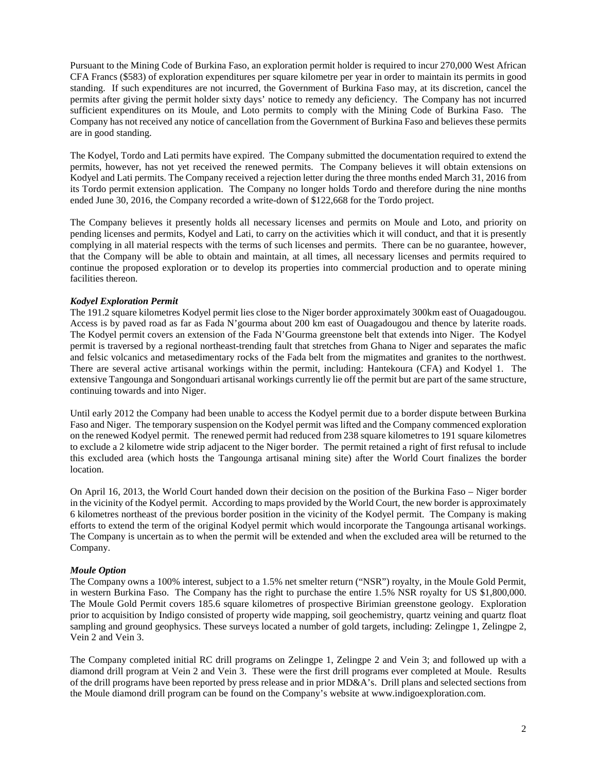Pursuant to the Mining Code of Burkina Faso, an exploration permit holder is required to incur 270,000 West African CFA Francs (\$583) of exploration expenditures per square kilometre per year in order to maintain its permits in good standing. If such expenditures are not incurred, the Government of Burkina Faso may, at its discretion, cancel the permits after giving the permit holder sixty days' notice to remedy any deficiency. The Company has not incurred sufficient expenditures on its Moule, and Loto permits to comply with the Mining Code of Burkina Faso. The Company has not received any notice of cancellation from the Government of Burkina Faso and believes these permits are in good standing.

The Kodyel, Tordo and Lati permits have expired. The Company submitted the documentation required to extend the permits, however, has not yet received the renewed permits. The Company believes it will obtain extensions on Kodyel and Lati permits. The Company received a rejection letter during the three months ended March 31, 2016 from its Tordo permit extension application. The Company no longer holds Tordo and therefore during the nine months ended June 30, 2016, the Company recorded a write-down of \$122,668 for the Tordo project.

The Company believes it presently holds all necessary licenses and permits on Moule and Loto, and priority on pending licenses and permits, Kodyel and Lati, to carry on the activities which it will conduct, and that it is presently complying in all material respects with the terms of such licenses and permits. There can be no guarantee, however, that the Company will be able to obtain and maintain, at all times, all necessary licenses and permits required to continue the proposed exploration or to develop its properties into commercial production and to operate mining facilities thereon.

## *Kodyel Exploration Permit*

The 191.2 square kilometres Kodyel permit lies close to the Niger border approximately 300km east of Ouagadougou. Access is by paved road as far as Fada N'gourma about 200 km east of Ouagadougou and thence by laterite roads. The Kodyel permit covers an extension of the Fada N'Gourma greenstone belt that extends into Niger. The Kodyel permit is traversed by a regional northeast-trending fault that stretches from Ghana to Niger and separates the mafic and felsic volcanics and metasedimentary rocks of the Fada belt from the migmatites and granites to the northwest. There are several active artisanal workings within the permit, including: Hantekoura (CFA) and Kodyel 1. The extensive Tangounga and Songonduari artisanal workings currently lie off the permit but are part of the same structure, continuing towards and into Niger.

Until early 2012 the Company had been unable to access the Kodyel permit due to a border dispute between Burkina Faso and Niger. The temporary suspension on the Kodyel permit was lifted and the Company commenced exploration on the renewed Kodyel permit. The renewed permit had reduced from 238 square kilometres to 191 square kilometres to exclude a 2 kilometre wide strip adjacent to the Niger border. The permit retained a right of first refusal to include this excluded area (which hosts the Tangounga artisanal mining site) after the World Court finalizes the border location.

On April 16, 2013, the World Court handed down their decision on the position of the Burkina Faso – Niger border in the vicinity of the Kodyel permit. According to maps provided by the World Court, the new border is approximately 6 kilometres northeast of the previous border position in the vicinity of the Kodyel permit. The Company is making efforts to extend the term of the original Kodyel permit which would incorporate the Tangounga artisanal workings. The Company is uncertain as to when the permit will be extended and when the excluded area will be returned to the Company.

#### *Moule Option*

The Company owns a 100% interest, subject to a 1.5% net smelter return ("NSR") royalty, in the Moule Gold Permit, in western Burkina Faso. The Company has the right to purchase the entire 1.5% NSR royalty for US \$1,800,000. The Moule Gold Permit covers 185.6 square kilometres of prospective Birimian greenstone geology. Exploration prior to acquisition by Indigo consisted of property wide mapping, soil geochemistry, quartz veining and quartz float sampling and ground geophysics. These surveys located a number of gold targets, including: Zelingpe 1, Zelingpe 2, Vein 2 and Vein 3.

The Company completed initial RC drill programs on Zelingpe 1, Zelingpe 2 and Vein 3; and followed up with a diamond drill program at Vein 2 and Vein 3. These were the first drill programs ever completed at Moule. Results of the drill programs have been reported by press release and in prior MD&A's. Drill plans and selected sections from the Moule diamond drill program can be found on the Company's website at [www.indigoexploration.com.](http://www.indigoexploration.com/)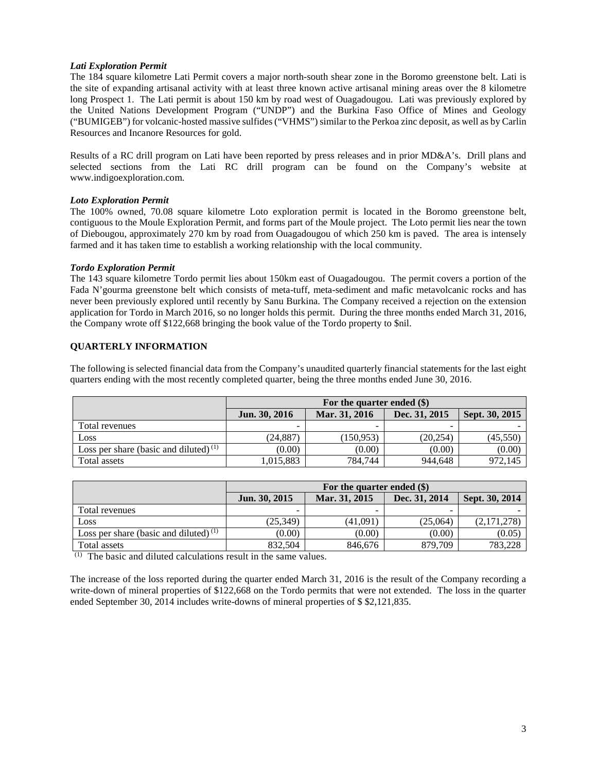### *Lati Exploration Permit*

The 184 square kilometre Lati Permit covers a major north-south shear zone in the Boromo greenstone belt. Lati is the site of expanding artisanal activity with at least three known active artisanal mining areas over the 8 kilometre long Prospect 1. The Lati permit is about 150 km by road west of Ouagadougou. Lati was previously explored by the United Nations Development Program ("UNDP") and the Burkina Faso Office of Mines and Geology ("BUMIGEB") for volcanic-hosted massive sulfides ("VHMS") similar to the Perkoa zinc deposit, as well as by Carlin Resources and Incanore Resources for gold.

Results of a RC drill program on Lati have been reported by press releases and in prior MD&A's. Drill plans and selected sections from the Lati RC drill program can be found on the Company's website at [www.indigoexploration.com.](http://www.indigoexploration.com/)

### *Loto Exploration Permit*

The 100% owned, 70.08 square kilometre Loto exploration permit is located in the Boromo greenstone belt, contiguous to the Moule Exploration Permit, and forms part of the Moule project. The Loto permit lies near the town of Diebougou, approximately 270 km by road from Ouagadougou of which 250 km is paved. The area is intensely farmed and it has taken time to establish a working relationship with the local community.

### *Tordo Exploration Permit*

The 143 square kilometre Tordo permit lies about 150km east of Ouagadougou. The permit covers a portion of the Fada N'gourma greenstone belt which consists of meta-tuff, meta-sediment and mafic metavolcanic rocks and has never been previously explored until recently by Sanu Burkina. The Company received a rejection on the extension application for Tordo in March 2016, so no longer holds this permit. During the three months ended March 31, 2016, the Company wrote off \$122,668 bringing the book value of the Tordo property to \$nil.

# **QUARTERLY INFORMATION**

The following is selected financial data from the Company's unaudited quarterly financial statements for the last eight quarters ending with the most recently completed quarter, being the three months ended June 30, 2016.

|                                          | For the quarter ended (\$) |               |               |                |
|------------------------------------------|----------------------------|---------------|---------------|----------------|
|                                          | Jun. 30, 2016              | Mar. 31, 2016 | Dec. 31, 2015 | Sept. 30, 2015 |
| Total revenues                           |                            | -             |               |                |
| Loss                                     | (24.887)                   | (150.953)     | (20.254)      | (45.550)       |
| Loss per share (basic and diluted) $(1)$ | (0.00)                     | (0.00)        | (0.00)        | (0.00)         |
| Total assets                             | 1,015,883                  | 784,744       | 944.648       | 972,145        |

|                                          | For the quarter ended $(\$)$ |               |               |                |
|------------------------------------------|------------------------------|---------------|---------------|----------------|
|                                          | Jun. 30, 2015                | Mar. 31, 2015 | Dec. 31, 2014 | Sept. 30, 2014 |
| Total revenues                           |                              |               |               |                |
| Loss                                     | (25.349)                     | (41.091)      | (25.064)      | (2,171,278)    |
| Loss per share (basic and diluted) $(1)$ | (0.00)                       | (0.00)        | (0.00)        | (0.05)         |
| Total assets                             | 832.504                      | 846.676       | 879,709       | 783.228        |

(1) The basic and diluted calculations result in the same values.

The increase of the loss reported during the quarter ended March 31, 2016 is the result of the Company recording a write-down of mineral properties of \$122,668 on the Tordo permits that were not extended. The loss in the quarter ended September 30, 2014 includes write-downs of mineral properties of \$ \$2,121,835.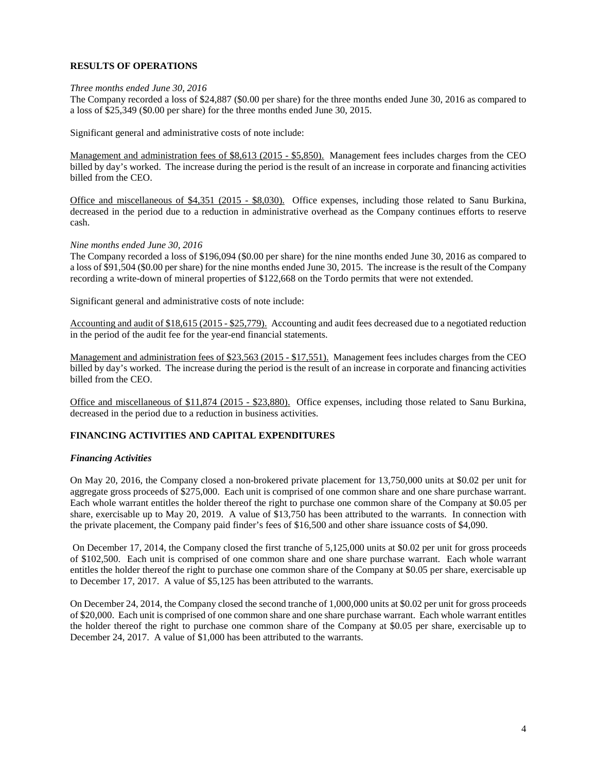## **RESULTS OF OPERATIONS**

### *Three months ended June 30, 2016*

The Company recorded a loss of \$24,887 (\$0.00 per share) for the three months ended June 30, 2016 as compared to a loss of \$25,349 (\$0.00 per share) for the three months ended June 30, 2015.

Significant general and administrative costs of note include:

Management and administration fees of \$8,613 (2015 - \$5,850). Management fees includes charges from the CEO billed by day's worked. The increase during the period is the result of an increase in corporate and financing activities billed from the CEO.

Office and miscellaneous of \$4,351 (2015 - \$8,030). Office expenses, including those related to Sanu Burkina, decreased in the period due to a reduction in administrative overhead as the Company continues efforts to reserve cash.

### *Nine months ended June 30, 2016*

The Company recorded a loss of \$196,094 (\$0.00 per share) for the nine months ended June 30, 2016 as compared to a loss of \$91,504 (\$0.00 per share) for the nine months ended June 30, 2015. The increase is the result of the Company recording a write-down of mineral properties of \$122,668 on the Tordo permits that were not extended.

Significant general and administrative costs of note include:

Accounting and audit of \$18,615 (2015 - \$25,779). Accounting and audit fees decreased due to a negotiated reduction in the period of the audit fee for the year-end financial statements.

Management and administration fees of \$23,563 (2015 - \$17,551). Management fees includes charges from the CEO billed by day's worked. The increase during the period is the result of an increase in corporate and financing activities billed from the CEO.

Office and miscellaneous of \$11,874 (2015 - \$23,880). Office expenses, including those related to Sanu Burkina, decreased in the period due to a reduction in business activities.

## **FINANCING ACTIVITIES AND CAPITAL EXPENDITURES**

#### *Financing Activities*

On May 20, 2016, the Company closed a non-brokered private placement for 13,750,000 units at \$0.02 per unit for aggregate gross proceeds of \$275,000. Each unit is comprised of one common share and one share purchase warrant. Each whole warrant entitles the holder thereof the right to purchase one common share of the Company at \$0.05 per share, exercisable up to May 20, 2019. A value of \$13,750 has been attributed to the warrants. In connection with the private placement, the Company paid finder's fees of \$16,500 and other share issuance costs of \$4,090.

On December 17, 2014, the Company closed the first tranche of 5,125,000 units at \$0.02 per unit for gross proceeds of \$102,500. Each unit is comprised of one common share and one share purchase warrant. Each whole warrant entitles the holder thereof the right to purchase one common share of the Company at \$0.05 per share, exercisable up to December 17, 2017. A value of \$5,125 has been attributed to the warrants.

On December 24, 2014, the Company closed the second tranche of 1,000,000 units at \$0.02 per unit for gross proceeds of \$20,000. Each unit is comprised of one common share and one share purchase warrant. Each whole warrant entitles the holder thereof the right to purchase one common share of the Company at \$0.05 per share, exercisable up to December 24, 2017. A value of \$1,000 has been attributed to the warrants.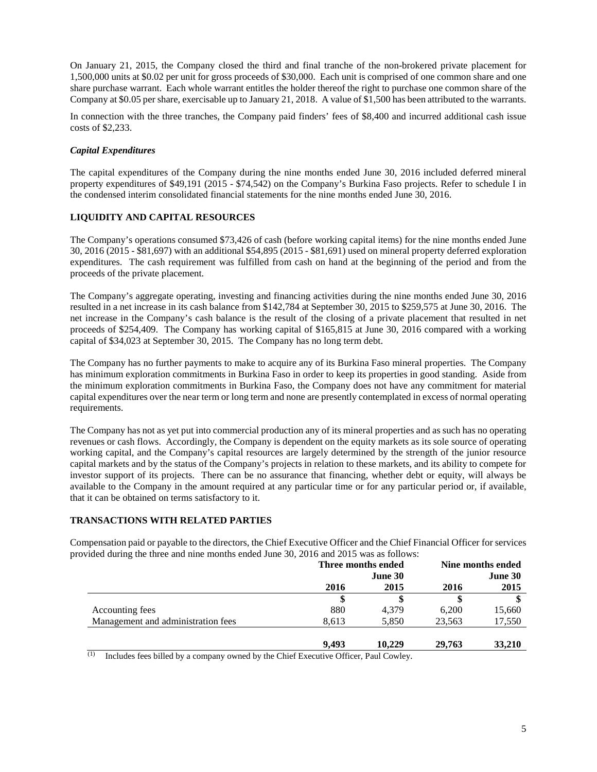On January 21, 2015, the Company closed the third and final tranche of the non-brokered private placement for 1,500,000 units at \$0.02 per unit for gross proceeds of \$30,000. Each unit is comprised of one common share and one share purchase warrant. Each whole warrant entitles the holder thereof the right to purchase one common share of the Company at \$0.05 per share, exercisable up to January 21, 2018. A value of \$1,500 has been attributed to the warrants.

In connection with the three tranches, the Company paid finders' fees of \$8,400 and incurred additional cash issue costs of \$2,233.

## *Capital Expenditures*

The capital expenditures of the Company during the nine months ended June 30, 2016 included deferred mineral property expenditures of \$49,191 (2015 - \$74,542) on the Company's Burkina Faso projects. Refer to schedule I in the condensed interim consolidated financial statements for the nine months ended June 30, 2016.

# **LIQUIDITY AND CAPITAL RESOURCES**

The Company's operations consumed \$73,426 of cash (before working capital items) for the nine months ended June 30, 2016 (2015 - \$81,697) with an additional \$54,895 (2015 - \$81,691) used on mineral property deferred exploration expenditures. The cash requirement was fulfilled from cash on hand at the beginning of the period and from the proceeds of the private placement.

The Company's aggregate operating, investing and financing activities during the nine months ended June 30, 2016 resulted in a net increase in its cash balance from \$142,784 at September 30, 2015 to \$259,575 at June 30, 2016. The net increase in the Company's cash balance is the result of the closing of a private placement that resulted in net proceeds of \$254,409. The Company has working capital of \$165,815 at June 30, 2016 compared with a working capital of \$34,023 at September 30, 2015. The Company has no long term debt.

The Company has no further payments to make to acquire any of its Burkina Faso mineral properties. The Company has minimum exploration commitments in Burkina Faso in order to keep its properties in good standing. Aside from the minimum exploration commitments in Burkina Faso, the Company does not have any commitment for material capital expenditures over the near term or long term and none are presently contemplated in excess of normal operating requirements.

The Company has not as yet put into commercial production any of its mineral properties and as such has no operating revenues or cash flows. Accordingly, the Company is dependent on the equity markets as its sole source of operating working capital, and the Company's capital resources are largely determined by the strength of the junior resource capital markets and by the status of the Company's projects in relation to these markets, and its ability to compete for investor support of its projects. There can be no assurance that financing, whether debt or equity, will always be available to the Company in the amount required at any particular time or for any particular period or, if available, that it can be obtained on terms satisfactory to it.

## **TRANSACTIONS WITH RELATED PARTIES**

Compensation paid or payable to the directors, the Chief Executive Officer and the Chief Financial Officer for services provided during the three and nine months ended June 30, 2016 and 2015 was as follows:

|                                    | Three months ended |        | Nine months ended |        |
|------------------------------------|--------------------|--------|-------------------|--------|
|                                    | June 30            |        | June 30           |        |
|                                    | 2016               | 2015   | 2016              | 2015   |
|                                    |                    |        |                   |        |
| Accounting fees                    | 880                | 4.379  | 6.200             | 15,660 |
| Management and administration fees | 8.613              | 5,850  | 23.563            | 17,550 |
|                                    | 9.493              | 10,229 | 29,763            | 33,210 |

Includes fees billed by a company owned by the Chief Executive Officer, Paul Cowley.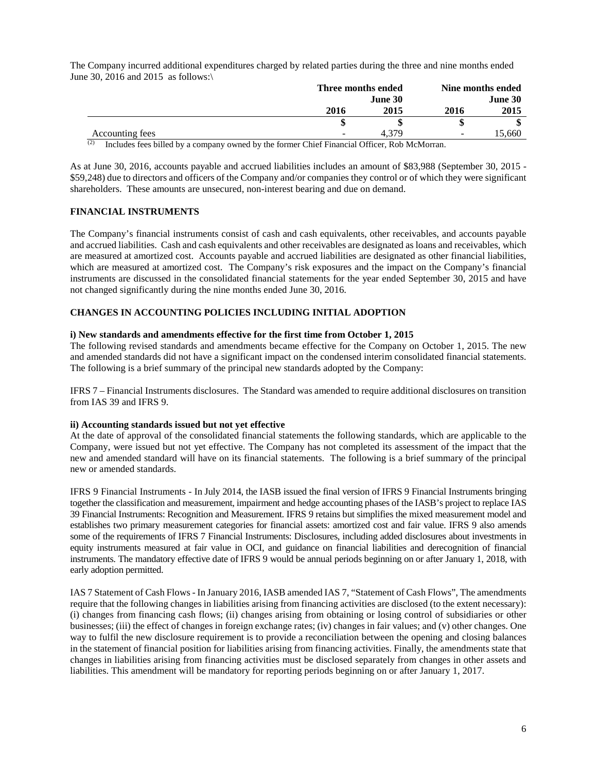The Company incurred additional expenditures charged by related parties during the three and nine months ended June 30, 2016 and 2015 as follows:\

|                 | Three months ended       |         |                          | Nine months ended |  |
|-----------------|--------------------------|---------|--------------------------|-------------------|--|
|                 |                          | June 30 |                          | June 30           |  |
|                 | 2016                     | 2015    | 2016                     | 2015              |  |
|                 |                          |         |                          |                   |  |
| Accounting fees | $\overline{\phantom{a}}$ | 4.379   | $\overline{\phantom{a}}$ | 5.660             |  |

<sup>(2)</sup> Includes fees billed by a company owned by the former Chief Financial Officer, Rob McMorran.

As at June 30, 2016, accounts payable and accrued liabilities includes an amount of \$83,988 (September 30, 2015 - \$59,248) due to directors and officers of the Company and/or companies they control or of which they were significant shareholders. These amounts are unsecured, non-interest bearing and due on demand.

## **FINANCIAL INSTRUMENTS**

The Company's financial instruments consist of cash and cash equivalents, other receivables, and accounts payable and accrued liabilities. Cash and cash equivalents and other receivables are designated as loans and receivables, which are measured at amortized cost. Accounts payable and accrued liabilities are designated as other financial liabilities, which are measured at amortized cost. The Company's risk exposures and the impact on the Company's financial instruments are discussed in the consolidated financial statements for the year ended September 30, 2015 and have not changed significantly during the nine months ended June 30, 2016.

## **CHANGES IN ACCOUNTING POLICIES INCLUDING INITIAL ADOPTION**

#### **i) New standards and amendments effective for the first time from October 1, 2015**

The following revised standards and amendments became effective for the Company on October 1, 2015. The new and amended standards did not have a significant impact on the condensed interim consolidated financial statements. The following is a brief summary of the principal new standards adopted by the Company:

IFRS 7 – Financial Instruments disclosures. The Standard was amended to require additional disclosures on transition from IAS 39 and IFRS 9.

#### **ii) Accounting standards issued but not yet effective**

At the date of approval of the consolidated financial statements the following standards, which are applicable to the Company, were issued but not yet effective. The Company has not completed its assessment of the impact that the new and amended standard will have on its financial statements. The following is a brief summary of the principal new or amended standards.

IFRS 9 Financial Instruments - In July 2014, the IASB issued the final version of IFRS 9 Financial Instruments bringing together the classification and measurement, impairment and hedge accounting phases of the IASB's project to replace IAS 39 Financial Instruments: Recognition and Measurement. IFRS 9 retains but simplifies the mixed measurement model and establishes two primary measurement categories for financial assets: amortized cost and fair value. IFRS 9 also amends some of the requirements of IFRS 7 Financial Instruments: Disclosures, including added disclosures about investments in equity instruments measured at fair value in OCI, and guidance on financial liabilities and derecognition of financial instruments. The mandatory effective date of IFRS 9 would be annual periods beginning on or after January 1, 2018, with early adoption permitted.

IAS 7 Statement of Cash Flows - In January 2016, IASB amended IAS 7, "Statement of Cash Flows", The amendments require that the following changes in liabilities arising from financing activities are disclosed (to the extent necessary): (i) changes from financing cash flows; (ii) changes arising from obtaining or losing control of subsidiaries or other businesses; (iii) the effect of changes in foreign exchange rates; (iv) changes in fair values; and (v) other changes. One way to fulfil the new disclosure requirement is to provide a reconciliation between the opening and closing balances in the statement of financial position for liabilities arising from financing activities. Finally, the amendments state that changes in liabilities arising from financing activities must be disclosed separately from changes in other assets and liabilities. This amendment will be mandatory for reporting periods beginning on or after January 1, 2017.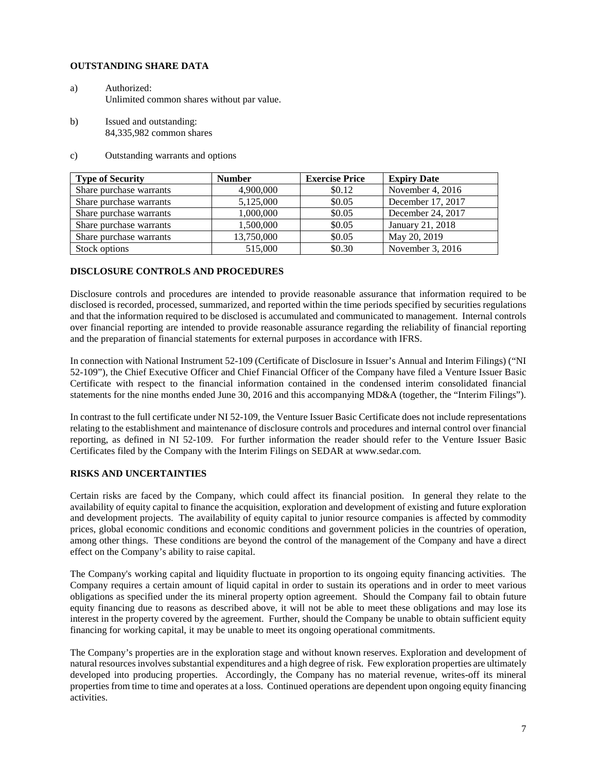### **OUTSTANDING SHARE DATA**

- a) Authorized: Unlimited common shares without par value.
- b) Issued and outstanding: 84,335,982 common shares
- c) Outstanding warrants and options

| <b>Type of Security</b> | <b>Number</b> | <b>Exercise Price</b> | <b>Expiry Date</b> |
|-------------------------|---------------|-----------------------|--------------------|
| Share purchase warrants | 4,900,000     | \$0.12                | November 4, 2016   |
| Share purchase warrants | 5,125,000     | \$0.05                | December 17, 2017  |
| Share purchase warrants | 1,000,000     | \$0.05                | December 24, 2017  |
| Share purchase warrants | 1,500,000     | \$0.05                | January 21, 2018   |
| Share purchase warrants | 13,750,000    | \$0.05                | May 20, 2019       |
| Stock options           | 515,000       | \$0.30                | November 3, 2016   |

### **DISCLOSURE CONTROLS AND PROCEDURES**

Disclosure controls and procedures are intended to provide reasonable assurance that information required to be disclosed is recorded, processed, summarized, and reported within the time periods specified by securities regulations and that the information required to be disclosed is accumulated and communicated to management. Internal controls over financial reporting are intended to provide reasonable assurance regarding the reliability of financial reporting and the preparation of financial statements for external purposes in accordance with IFRS.

In connection with National Instrument 52-109 (Certificate of Disclosure in Issuer's Annual and Interim Filings) ("NI 52-109"), the Chief Executive Officer and Chief Financial Officer of the Company have filed a Venture Issuer Basic Certificate with respect to the financial information contained in the condensed interim consolidated financial statements for the nine months ended June 30, 2016 and this accompanying MD&A (together, the "Interim Filings").

In contrast to the full certificate under NI 52-109, the Venture Issuer Basic Certificate does not include representations relating to the establishment and maintenance of disclosure controls and procedures and internal control over financial reporting, as defined in NI 52-109. For further information the reader should refer to the Venture Issuer Basic Certificates filed by the Company with the Interim Filings on SEDAR at www.sedar.com.

## **RISKS AND UNCERTAINTIES**

Certain risks are faced by the Company, which could affect its financial position. In general they relate to the availability of equity capital to finance the acquisition, exploration and development of existing and future exploration and development projects. The availability of equity capital to junior resource companies is affected by commodity prices, global economic conditions and economic conditions and government policies in the countries of operation, among other things. These conditions are beyond the control of the management of the Company and have a direct effect on the Company's ability to raise capital.

The Company's working capital and liquidity fluctuate in proportion to its ongoing equity financing activities. The Company requires a certain amount of liquid capital in order to sustain its operations and in order to meet various obligations as specified under the its mineral property option agreement. Should the Company fail to obtain future equity financing due to reasons as described above, it will not be able to meet these obligations and may lose its interest in the property covered by the agreement. Further, should the Company be unable to obtain sufficient equity financing for working capital, it may be unable to meet its ongoing operational commitments.

The Company's properties are in the exploration stage and without known reserves. Exploration and development of natural resources involves substantial expenditures and a high degree of risk. Few exploration properties are ultimately developed into producing properties. Accordingly, the Company has no material revenue, writes-off its mineral properties from time to time and operates at a loss. Continued operations are dependent upon ongoing equity financing activities.